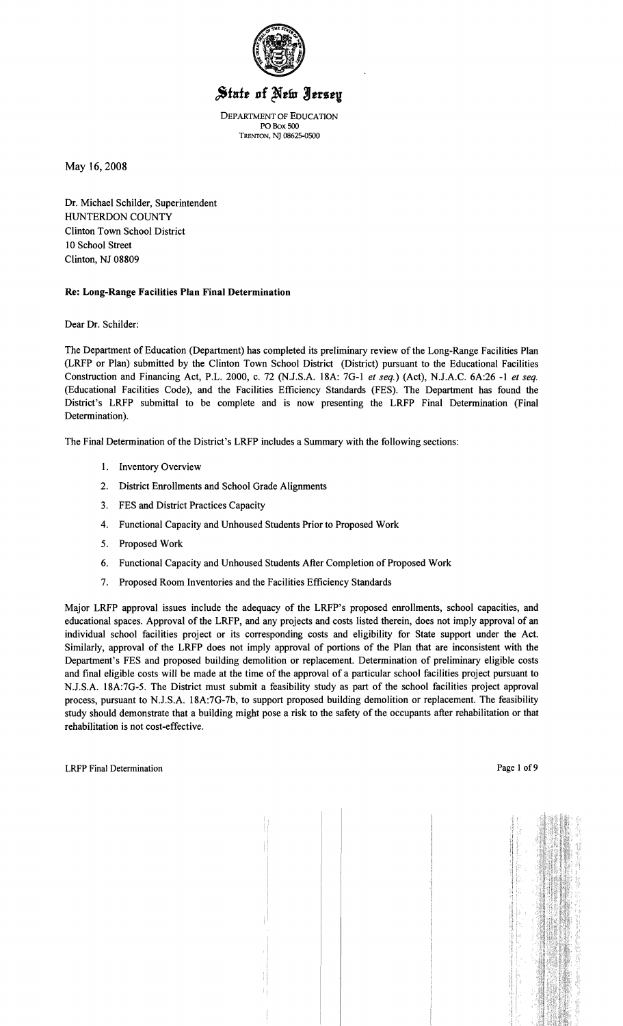

# State of New Jersey

DEPARTMENT OF EDUCATION POBox 500 TRENTON, NJ 08625-0500

May 16,2008

Dr. Michael Schilder, Superintendent HUNTERDON COUNTY Clinton Town School District 10 School Street Clinton, NJ 08809

#### Re: Long-Range Facilities Plan Final Determination

Dear Dr. Schilder:

The Department of Education (Department) has completed its preliminary review of the Long-Range Facilities Plan (LRFP or Plan) submitted by the Clinton Town School District (District) pursuant to the Educational Facilities Construction and Financing Act, P.L. 2000, c. 72 (NJ.S.A. 18A: 7G-I *et seq.)* (Act), NJ.A.C. 6A:26 -I *et seq.*  (Educational Facilities Code), and the Facilities Efficiency Standards (FES). The Department has found the District's LRFP submittal to be complete and is now presenting the LRFP Final Determination (Final Determination).

The Final Determination of the District's LRFP includes a Summary with the following sections:

- I. Inventory Overview
- 2. District Enrollments and School Grade Alignments
- 3. FES and District Practices Capacity
- 4. Functional Capacity and Unhoused Students Prior to Proposed Work
- 5. Proposed Work
- 6. Functional Capacity and Unhoused Students After Completion of Proposed Work
- 7. Proposed Room Inventories and the Facilities Efficiency Standards

Major LRFP approval issues include the adequacy of the LRFP's proposed enrollments, school capacities, and educational spaces. Approval of the LRFP, and any projects and costs listed therein, does not imply approval of an individual school facilities project or its corresponding costs and eligibility for State support under the Act. Similarly, approval of the LRFP does not imply approval of portions of the Plan that are inconsistent with the Department's FES and proposed building demolition or replacement. Determination of preliminary eligible costs and final eligible costs will be made at the time of the approval of a particular school facilities project pursuant to NJ.S.A. 18A:7G-5. The District must submit a feasibility study as part of the school facilities project approval process, pursuant to N.J.S.A. 18A:7G-7b, to support proposed building demolition or replacement. The feasibility study should demonstrate that a building might pose a risk to the safety of the occupants after rehabilitation or that rehabilitation is not cost-effective.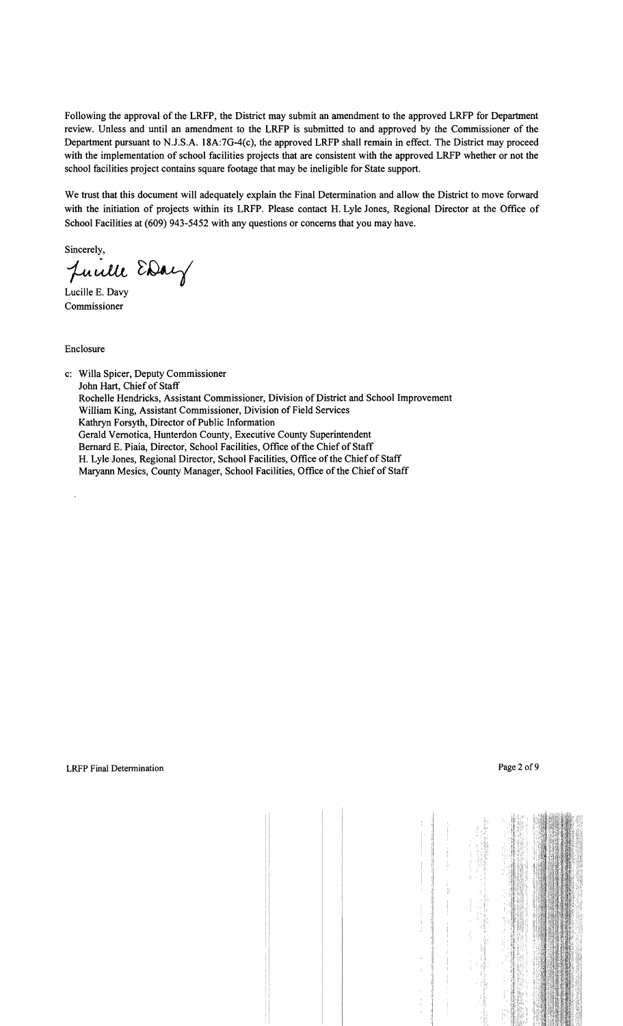Following the approval of the LRFP, the District may submit an amendment to the approved LRFP for Department review. Unless and until an amendment to the LRFP is submitted to and approved by the Commissioner of the Department pursuant to N.J.S.A. 18A:7G-4(c), the approved LRFP shall remain in effect. The District may proceed with the implementation of school facilities projects that are consistent with the approved LRFP whether or not the school facilities project contains square footage that may be ineligible for State support.

We trust that this document will adequately explain the Final Determination and allow the District to move forward with the initiation of projects within its LRFP. Please contact H. Lyle Jones, Regional Director at the Office of School Facilities at (609) 943-5452 with any questions or concerns that you may have.

Sincerely,

Juille EDay

Lucille E. Davy Commissioner

Enclosure

c: Willa Spicer, Deputy Commissioner John Hart, Chief of Staff Rochelle Hendricks, Assistant Commissioner, Division of District and School Improvement William King, Assistant Commissioner, Division of Field Services Kathryn Forsyth, Director of Public Information Gerald Vernotica, Hunterdon County, Executive County Superintendent Bernard E. Piaia, Director, School Facilities, Office of the Chief of Staff H. Lyle Jones, Regional Director, School Facilities, Office of the Chief of Staff Maryann Mesics, County Manager, School Facilities, Office of the Chief of Staff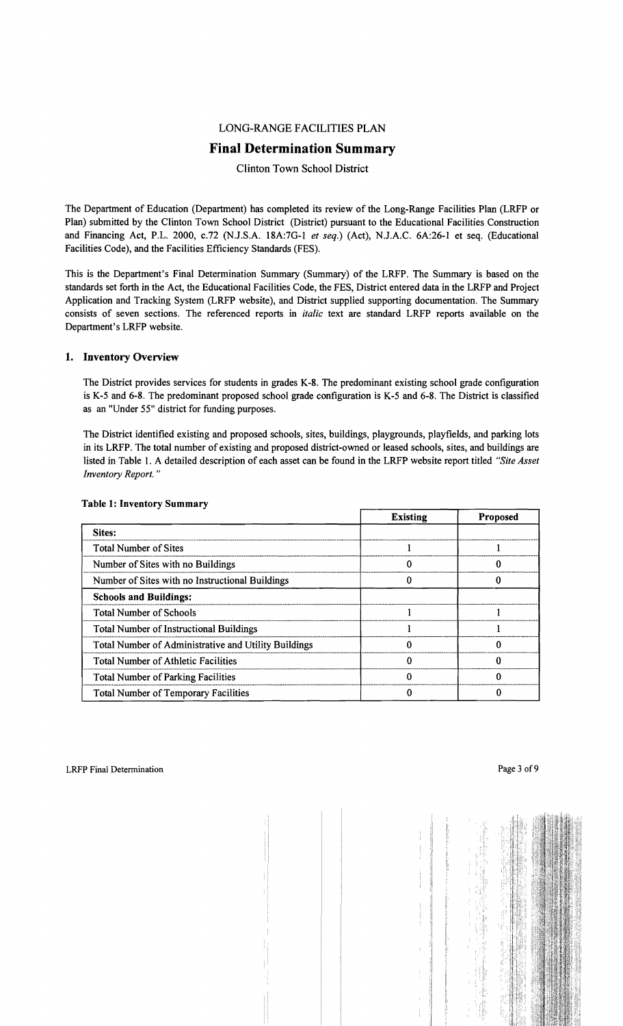# LONG-RANGE FACILITIES PLAN

# **Final Determination Summary**

Clinton Town School District

The Department of Education (Department) has completed its review of the Long-Range Facilities Plan (LRFP or Plan) submitted by the Clinton Town School District (District) pursuant to the Educational Facilities Construction and Financing Act, P.L. 2000, c.72 (NJ.S.A. 18A:7G-l *et seq.)* (Act), N.J.A.C. 6A:26-1 et seq. (Educational Facilities Code), and the Facilities Efficiency Standards (FES).

This is the Department's Final Determination Summary (Summary) of the LRFP. The Summary is based on the standards set forth in the Act, the Educational Facilities Code, the FES, District entered data in the LRFP and Project Application and Tracking System (LRFP website), and District supplied supporting documentation. The Summary consists of seven sections. The referenced reports in *italic* text are standard LRFP reports available on the Department's LRFP website.

#### 1. Inventory Overview

The District provides services for students in grades K-8. The predominant existing school grade configuration is K-5 and 6-8. The predominant proposed school grade configuration is K-5 and 6-8. The District is classified as an "Under 55" district for funding purposes.

The District identified existing and proposed schools, sites, buildings, playgrounds, playfields, and parking lots in its LRFP. The total number of existing and proposed district-owned or leased schools, sites, and buildings are listed in Table 1. A detailed description of each asset can be found in the LRFP website report titled *"Site Asset Inventory Report. "* 

|                                                      | <b>Existing</b> | <b>Proposed</b> |  |
|------------------------------------------------------|-----------------|-----------------|--|
| Sites:                                               |                 |                 |  |
| <b>Total Number of Sites</b>                         |                 |                 |  |
| Number of Sites with no Buildings                    |                 |                 |  |
| Number of Sites with no Instructional Buildings      |                 |                 |  |
| <b>Schools and Buildings:</b>                        |                 |                 |  |
| <b>Total Number of Schools</b>                       |                 |                 |  |
| <b>Total Number of Instructional Buildings</b>       |                 |                 |  |
| Total Number of Administrative and Utility Buildings |                 |                 |  |
| <b>Total Number of Athletic Facilities</b>           |                 |                 |  |
| <b>Total Number of Parking Facilities</b>            |                 |                 |  |
| <b>Total Number of Temporary Facilities</b>          |                 |                 |  |

## Table 1: Inventory Summary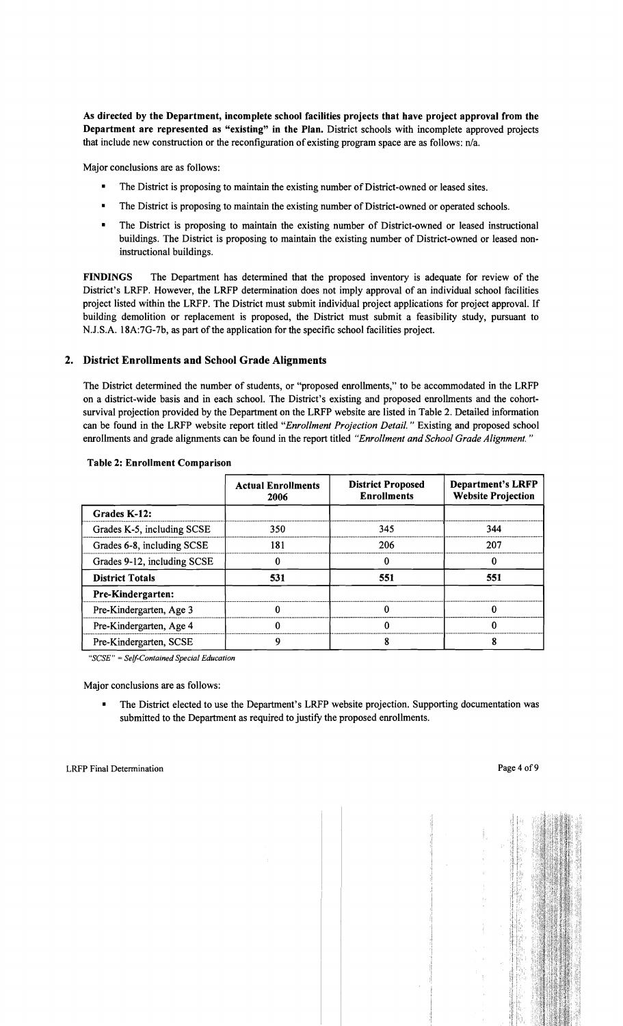As directed by the Department, incomplete school facilities projects that have project approval from the Department are represented as "existing" in the Plan. District schools with incomplete approved projects that include new construction or the reconfiguration of existing program space are as follows: n/a.

Major conclusions are as follows:

- The District is proposing to maintain the existing number of District-owned or leased sites.
- The District is proposing to maintain the existing number of District-owned or operated schools.
- The District is proposing to maintain the existing number of District-owned or leased instructional buildings. The District is proposing to maintain the existing number of District-owned or leased noninstructional buildings.

FINDINGS The Department has determined that the proposed inventory is adequate for review of the District's LRFP. However, the LRFP determination does not imply approval of an individual school facilities project listed within the LRFP. The District must submit indiviqual project applications for project approval. If building demolition or replacement is proposed, the District must submit a feasibility study, pursuant to N.J.S.A. 18A:7G-7b, as part of the application for the specific school facilities project.

## 2. District Enrollments and School Grade Alignments

The District determined the number of students, or "proposed enrollments," to be accommodated in the LRFP on a district-wide basis and in each school. The District's existing and proposed enrollments and the cohortsurvival projection provided by the Department on the LRFP website are listed in Table 2. Detailed information can be found in the LRFP website report titled *"Enrollment Projection Detail.* " Existing and proposed school enrollments and grade alignments can be found in the report titled *"Enrollment and School Grade Alignment. "* 

|                             | <b>Actual Enrollments</b><br>2006 | <b>District Proposed</b><br><b>Enrollments</b> | <b>Department's LRFP</b><br><b>Website Projection</b> |
|-----------------------------|-----------------------------------|------------------------------------------------|-------------------------------------------------------|
| Grades K-12:                |                                   |                                                |                                                       |
| Grades K-5, including SCSE  | 350                               | 345                                            | 344                                                   |
| Grades 6-8, including SCSE  | 181                               | 206                                            | 207                                                   |
| Grades 9-12, including SCSE |                                   |                                                | 0                                                     |
| <b>District Totals</b>      | 531                               | 551                                            | 551                                                   |
| <b>Pre-Kindergarten:</b>    |                                   |                                                |                                                       |
| Pre-Kindergarten, Age 3     |                                   |                                                | 0                                                     |
| Pre-Kindergarten, Age 4     |                                   | ∩<br>0                                         |                                                       |
| Pre-Kindergarten, SCSE      |                                   |                                                |                                                       |

#### Table 2: Enrollment Comparison

"SCSE" = Self-Contained Special Education

Major conclusions are as follows:

• The District elected to use the Department's LRFP website projection. Supporting documentation was submitted to the Department as required to justify the proposed enrollments.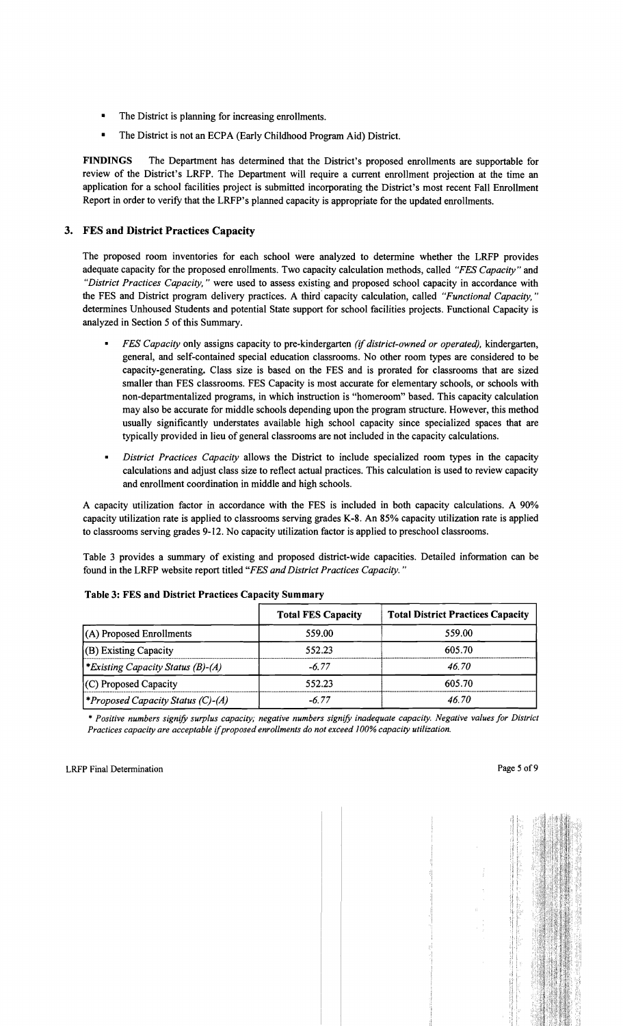- The District is planning for increasing enrollments.
- The District is not an ECPA (Early Childhood Program Aid) District.

FINDINGS The Department has determined that the District's proposed enrollments are supportable for review of the District's LRFP. The Department will require a current enrollment projection at the time an application for a school facilities project is submitted incorporating the District's most recent Fall Enrollment Report in order to verify that the LRFP's planned capacity is appropriate for the updated enrollments.

# 3. FES and District Practices Capacity

The proposed room inventories for each school were analyzed to determine whether the LRFP provides adequate capacity for the proposed enrollments. Two capacity calculation methods, called *"FES Capacity"* and *"District Practices Capacity,* " were used to assess existing and proposed school capacity in accordance with the FES and District program delivery practices. A third' capacity calculation, called *"Functional Capacity,"*  determines Unhoused Students and potential State support for school facilities projects. Functional Capacity is analyzed in Section 5 of this Summary.

- *FES Capacity* only assigns capacity to pre-kindergarten *(if district-owned or operated),* kindergarten, general, and self-contained special education classrooms. No other room types are considered to be capacity-generating. Class size is based on the FES and is prorated for classrooms that are sized smaller than FES classrooms. FES Capacity is most accurate for elementary schools, or schools with non-departmentalized programs, in which instruction is "homeroom" based. This capacity calculation may also be accurate for middle schools depending upon the program structure. However, this method usually significantly understates available high school capacity since specialized spaces that are typically provided in lieu of general classrooms are not included in the capacity calculations.
- *District Practices Capacity* allows the District to include specialized room types in the capacity calculations and adjust class size to reflect actual practices. This calculation is used to review capacity and enrollment coordination in middle and high schools.

A capacity utilization factor in accordance with the FES is included in both capacity calculations. A 90% capacity utilization rate is applied to classrooms serving grades K-8. An 85% capacity utilization rate is applied to classrooms serving grades 9-12. No capacity utilization factor is applied to preschool classrooms.

Table 3 provides a summary of existing and proposed district-wide capacities. Detailed information can be found in the LRFP website report titled *"FES and District Practices Capacity. "* 

| Table 3: FES and District Practices Capacity Summary |                           |                                          |  |  |
|------------------------------------------------------|---------------------------|------------------------------------------|--|--|
|                                                      | <b>Total FES Capacity</b> | <b>Total District Practices Capacity</b> |  |  |
| (A) Proposed Enrollments                             | 559.00                    | 559.00                                   |  |  |
| (B) Existing Capacity                                | 552.23                    | 605.70                                   |  |  |
| *Existing Capacity Status (B)-(A)                    | $-6.77$                   | 46.70                                    |  |  |
| (C) Proposed Capacity                                | 552.23                    | 605.70                                   |  |  |
| <i>*Proposed Capacity Status (C)-(A)</i>             | $-6.77$                   | 46.70                                    |  |  |

#### Table 3: FES and District Practices Capacity Summary

\* *Positive numbers signify surplus capacity; negative numbers signify inadequate capacity. Negative values for District Practices capacity are acceptable* if*proposed enrollments do not exceed* J*00% capacity utilization.*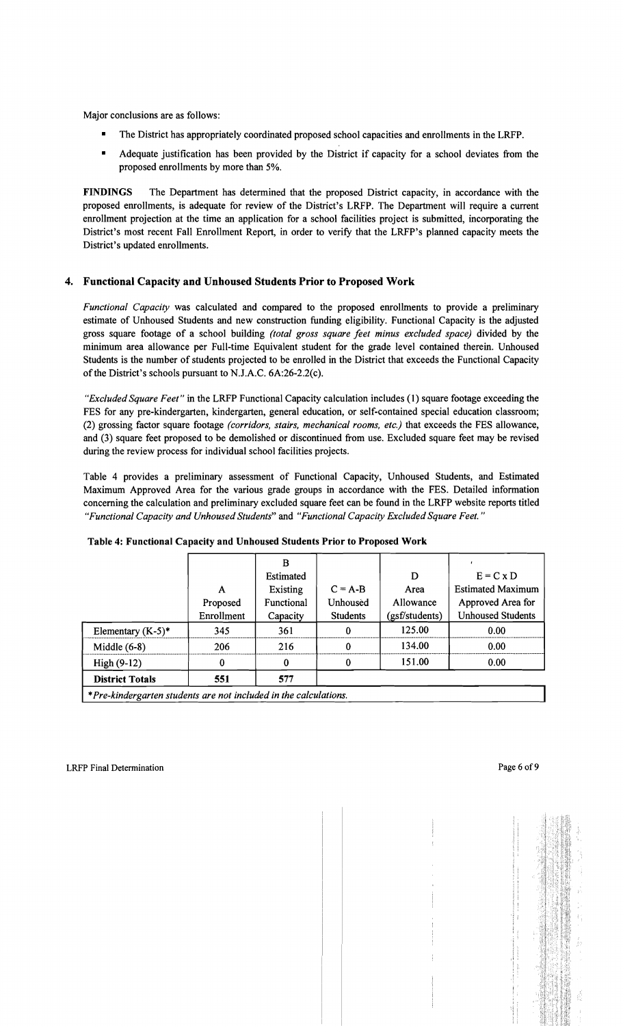Major conclusions are as follows:

- The District has appropriately coordinated proposed school capacities and enrollments in the LRFP.
- Adequate justification has been provided by the District if capacity for a school deviates from the proposed enrollments by more than 5%.

FINDINGS The Department has determined that the proposed District capacity, in accordance with the proposed enrollments, is adequate for review of the District's LRFP. The Department will require a current enrollment projection at the time an application for a school facilities project is submitted, incorporating the District's most recent Fall Enrollment Report, in order to verify that the LRFP's planned capacity meets the District's updated enrollments.

# 4. Functional Capacity and Unhoused Students Prior to Proposed Work

*Functional Capacity* was calculated and compared to the proposed enrollments to provide a preliminary estimate of Unhoused Students and new construction funding eligibility. Functional Capacity is the adjusted gross square footage of a school building *(total gross square feet minus excluded space)* divided by the minimum area allowance per Full-time Equivalent student for the grade level contained therein. Unhoused Students is the number of students projected to be enrolled in the District that exceeds the Functional Capacity of the District's schools pursuant to NJ.A.C. 6A:26-2.2(c).

*"Excluded Square Feet"* in the LRFP Functional Capacity calculation includes (1) square footage exceeding the FES for any pre-kindergarten, kindergarten, general education, or self-contained special education classroom; (2) grossing factor square footage *(corridors, stairs, mechanical rooms, etc.)* that exceeds the FES allowance, and (3) square feet proposed to be demolished or discontinued from use. Excluded square feet may be revised during the review process for individual school facilities projects.

Table 4 provides a preliminary assessment of Functional Capacity, Unhoused Students, and Estimated Maximum Approved Area for the various grade groups in accordance with the FES. Detailed information concerning the calculation and preliminary excluded square feet can be found in the LRFP website reports titled *"Functional Capacity and Unhoused Students"* and *"Functional Capacity Excluded Square Feet. "* 

|                                                                  |            | B          |                 |                |                          |
|------------------------------------------------------------------|------------|------------|-----------------|----------------|--------------------------|
|                                                                  |            | Estimated  |                 | D              | $E = C x D$              |
|                                                                  | A          | Existing   | $C = A-B$       | Area           | <b>Estimated Maximum</b> |
|                                                                  | Proposed   | Functional | Unhoused        | Allowance      | Approved Area for        |
|                                                                  | Enrollment | Capacity   | <b>Students</b> | (gsf/students) | <b>Unhoused Students</b> |
| Elementary $(K-5)^*$                                             | 345        | 361        | 0               | 125.00         | 0.00                     |
| Middle $(6-8)$                                                   | 206        | 216        | 0               | 134.00         | 0.00                     |
| High $(9-12)$                                                    | 0          |            | 0               | 151.00         | 0.00                     |
| <b>District Totals</b>                                           | 551        | 577        |                 |                |                          |
| *Pre-kindergarten students are not included in the calculations. |            |            |                 |                |                          |

#### Table 4: Functional Capacity and Unhoused Students Prior to Proposed Work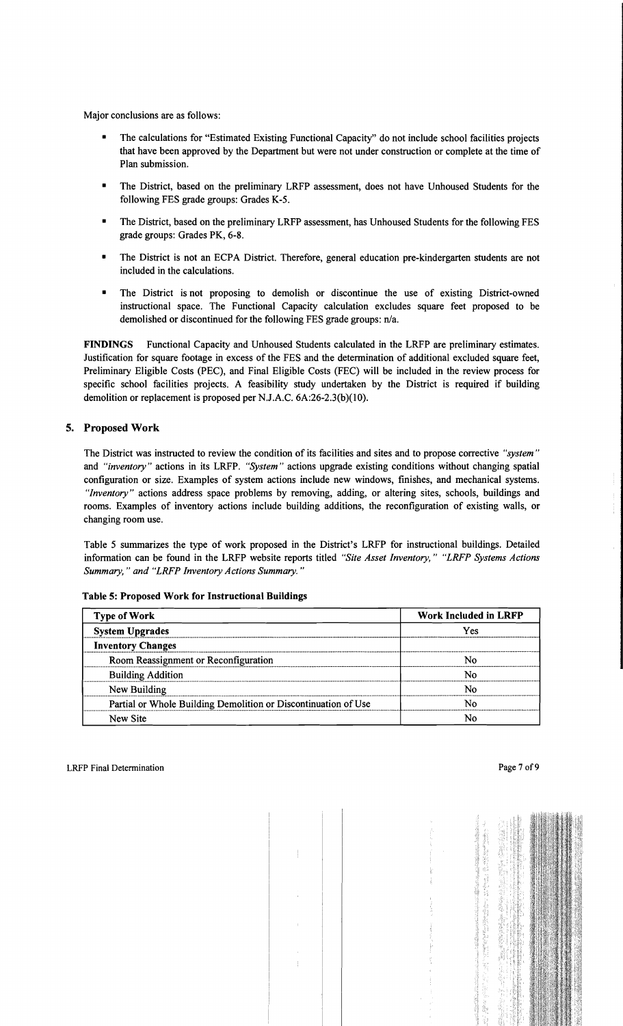Major conclusions are as follows:

- The calculations for "Estimated Existing Functional Capacity" do not include school facilities projects that have been approved by the Department but were not under construction or complete at the time of Plan submission.
- The District, based on the preliminary LRFP assessment, does not have Unhoused Students for the following FES grade groups: Grades K-5.
- The District, based on the preliminary LRFP assessment, has Unhoused Students for the following FES grade groups: Grades PK, 6-8.
- The District is not an ECPA District. Therefore, general education pre-kindergarten students are not included in the calculations.
- The District is not proposing to demolish or discontinue the use of existing District-owned instructional space. The Functional Capacity calculation excludes square feet proposed to be demolished or discontinued for the following FES grade groups: *nJa.*

FINDINGS Functional Capacity and Unhoused Students calculated in the LRFP are preliminary estimates. Justification for square footage in excess of the FES and the determination of additional excluded square feet, Preliminary Eligible Costs (PEC), and Final Eligible Costs (FEC) will be included in the review process for specific school facilities projects. A feasibility study undertaken by the District is required if building demolition or replacement is proposed per NJ.A.C. 6A:26-2.3(b)(10).

#### 5. Proposed Work

The District was instructed to review the condition of its facilities and sites and to propose corrective *"system"*  and *"inventory"* actions in its LRFP. *"System"* actions upgrade existing conditions without changing spatial configuration or size. Examples of system actions include new windows, finishes, and mechanical systems. *"Inventory"* actions address space problems by removing, adding, or altering sites, schools, buildings and rooms. Examples of inventory actions include building additions, the reconfiguration of existing walls, or changing room use.

Table 5 summarizes the type of work proposed in the District's LRFP for instructional buildings. Detailed information can be found in the LRFP website reports titled *"Site Asset Inventory," "LRFP Systems Actions Summary,* " *and "LRFP Inventory Actions Summary. "* 

| <b>Type of Work</b>                                            | <b>Work Included in LRFP</b> |  |  |
|----------------------------------------------------------------|------------------------------|--|--|
| <b>System Upgrades</b>                                         | Yes                          |  |  |
| <b>Inventory Changes</b>                                       |                              |  |  |
| Room Reassignment or Reconfiguration                           | N٥                           |  |  |
| <b>Building Addition</b>                                       | Ν٥                           |  |  |
| New Building                                                   | N٥                           |  |  |
| Partial or Whole Building Demolition or Discontinuation of Use | Ν٥                           |  |  |
| New Site                                                       | N٥                           |  |  |

Table 5: Proposed Work for Instructional Buildings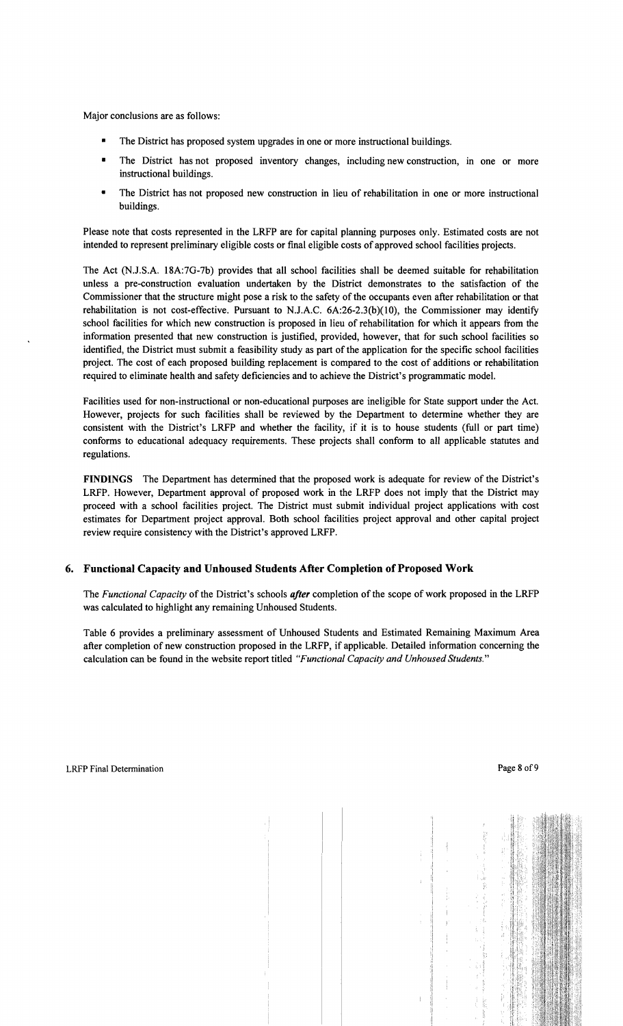Major conclusions are as follows:

- The District has proposed system upgrades in one or more instructional buildings.
- The District has not proposed inventory changes, including new construction, in one or more instructional buildings.
- The District has not proposed new construction in lieu of rehabilitation in one or more instructional buildings.

Please note that costs represented in the LRFP are for capital planning purposes only. Estimated costs are not intended to represent preliminary eligible costs or fmal eligible costs of approved school facilities projects.

The Act (NJ .S.A. 18A:7G-7b) provides that all school facilities shall be deemed suitable for rehabilitation unless a pre-construction evaluation undertaken by the District demonstrates to the satisfaction of the Commissioner that the structure might pose a risk to the safety of the occupants even after rehabilitation or that rehabilitation is not cost-effective. Pursuant to N.J.A.C.  $6A:26-2.3(b)(10)$ , the Commissioner may identify school facilities for which new construction is proposed in lieu of rehabilitation for which it appears from the information presented that new construction is justified, provided, however, that for such school facilities so identified, the District must submit a feasibility study as part of the application for the specific school facilities project. The cost of each proposed building replacement is compared to the cost of additions or rehabilitation required to eliminate health and safety deficiencies and to achieve the District's programmatic model.

Facilities used for non-instructional or non-educational purposes are ineligible for State support under the Act. However, projects for such facilities shall be reviewed by the Department to determine whether they are consistent with the District's LRFP and whether the facility, if it is to house students (full or part time) conforms to educational adequacy requirements. These projects shall conform to all applicable statutes and regulations.

FINDINGS The Department has determined that the proposed work is adequate for review of the District's LRFP. However, Department approval of proposed work in the LRFP does not imply that the District may proceed with a school facilities project. The District must submit individual project applications with cost estimates for Department project approval. Both school facilities project approval and other capital project review require consistency with the District's approved LRFP.

# 6. Functional Capacity and Unhoused Students After Completion of Proposed Work

The *Functional Capacity* of the District's schools *after* completion of the scope of work proposed in the LRFP was calculated to highlight any remaining Unhoused Students.

Table 6 provides a preliminary assessment of Unhoused Students and Estimated Remaining Maximum Area after completion of new construction proposed in the LRFP, if applicable. Detailed information concerning the calculation can be found in the website report titled *"Functional Capacity and Unhoused Students."*